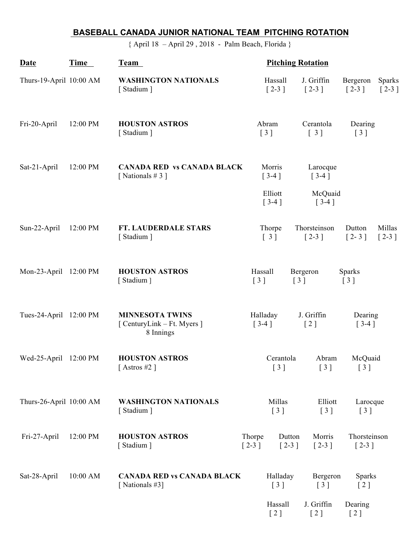## **BASEBALL CANADA JUNIOR NATIONAL TEAM PITCHING ROTATION**

{ April 18 – April 29 , 2018 - Palm Beach, Florida }

| Date                    | Time     | Team                                                               |                   | <b>Pitching Rotation</b>                      |  |                                                        |                                                         |                          |  |
|-------------------------|----------|--------------------------------------------------------------------|-------------------|-----------------------------------------------|--|--------------------------------------------------------|---------------------------------------------------------|--------------------------|--|
| Thurs-19-April 10:00 AM |          | <b>WASHINGTON NATIONALS</b><br>[Stadium]                           |                   | Hassall<br>$\lceil 2-3 \rceil$                |  | J. Griffin<br>$[2-3]$                                  | Bergeron<br>$\lceil 2-3 \rceil$                         | <b>Sparks</b><br>$[2-3]$ |  |
| Fri-20-April            | 12:00 PM | <b>HOUSTON ASTROS</b><br>[Stadium]                                 |                   | Abram<br>$\begin{bmatrix} 3 \end{bmatrix}$    |  | Cerantola<br>[3]                                       | [3]                                                     | Dearing                  |  |
| Sat-21-April            | 12:00 PM | <b>CANADA RED vs CANADA BLACK</b><br>[Nationals #3]                |                   | Morris<br>$[3-4]$                             |  | Larocque<br>$[3-4]$                                    |                                                         |                          |  |
|                         |          |                                                                    |                   | Elliott<br>$[3-4]$                            |  | McQuaid<br>$[3-4]$                                     |                                                         |                          |  |
| Sun-22-April            | 12:00 PM | <b>FT. LAUDERDALE STARS</b><br>[Stadium]                           |                   | Thorpe<br>$\begin{bmatrix} 3 \end{bmatrix}$   |  | Thorsteinson<br>$[2-3]$                                | Dutton<br>$\lceil 2-3 \rceil$                           | Millas<br>$[2-3]$        |  |
| Mon-23-April 12:00 PM   |          | <b>HOUSTON ASTROS</b><br>[Stadium]                                 |                   | Hassall<br>$\begin{bmatrix} 3 \end{bmatrix}$  |  | Bergeron<br>$\lceil 3 \rceil$                          | Sparks<br>$\begin{bmatrix} 3 \end{bmatrix}$             |                          |  |
| Tues-24-April 12:00 PM  |          | <b>MINNESOTA TWINS</b><br>[ CenturyLink – Ft. Myers ]<br>8 Innings |                   | Halladay<br>$[3-4]$                           |  | J. Griffin<br>[2]                                      | Dearing<br>$[3-4]$                                      |                          |  |
| Wed-25-April 12:00 PM   |          | <b>HOUSTON ASTROS</b><br>[Astros #2]                               |                   | Cerantola<br>[3]                              |  | Abram<br>$\begin{bmatrix} 3 \end{bmatrix}$             | McQuaid<br>[3]                                          |                          |  |
| Thurs-26-April 10:00 AM |          | <b>WASHINGTON NATIONALS</b><br>[Stadium]                           |                   | Millas<br>$[3]$                               |  | Elliott<br>$\left[\begin{array}{c}3\end{array}\right]$ | Larocque<br>$\left[\begin{array}{c}3\end{array}\right]$ |                          |  |
| Fri-27-April            | 12:00 PM | <b>HOUSTON ASTROS</b><br>[Stadium]                                 | Thorpe<br>$[2-3]$ | Dutton<br>$[2-3]$                             |  | Morris<br>$[2-3]$                                      |                                                         | Thorsteinson<br>$[2-3]$  |  |
| Sat-28-April            | 10:00 AM | <b>CANADA RED vs CANADA BLACK</b><br>[Nationals #3]                |                   | Halladay<br>$\begin{bmatrix} 3 \end{bmatrix}$ |  | Bergeron<br>$\begin{bmatrix} 3 \end{bmatrix}$          | $\left[2\right]$                                        | <b>Sparks</b>            |  |
|                         |          |                                                                    |                   | Hassall<br>[2]                                |  | J. Griffin<br>$[2]$                                    | Dearing<br>[2]                                          |                          |  |